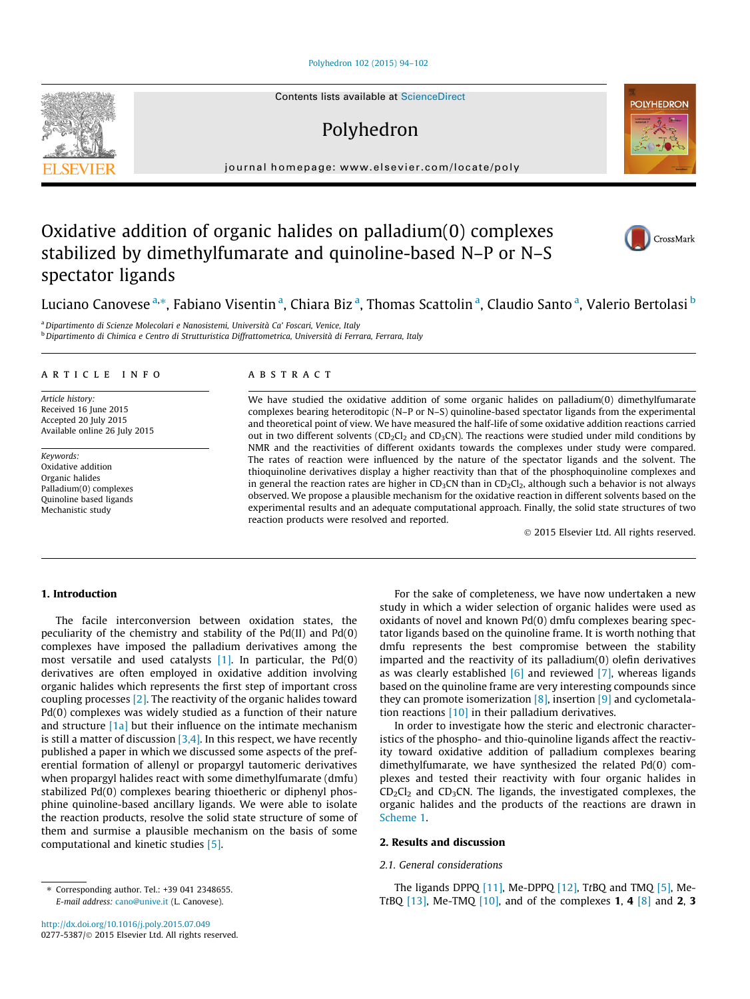# [Polyhedron 102 \(2015\) 94–102](http://dx.doi.org/10.1016/j.poly.2015.07.049)

Contents lists available at [ScienceDirect](http://www.sciencedirect.com/science/journal/02775387)

# Polyhedron

journal homepage: [www.elsevier.com/locate/poly](http://www.elsevier.com/locate/poly)

# Oxidative addition of organic halides on palladium(0) complexes stabilized by dimethylfumarate and quinoline-based N–P or N–S spectator ligands

# Luciano Canovese <sup>a,</sup>\*, Fabiano Visentin <sup>a</sup>, Chiara Biz <sup>a</sup>, Thomas Scattolin <sup>a</sup>, Claudio Santo <sup>a</sup>, Valerio Bertolasi <sup>b</sup>

<sup>a</sup> Dipartimento di Scienze Molecolari e Nanosistemi, Università Ca' Foscari, Venice, Italy <sup>b</sup> Dipartimento di Chimica e Centro di Strutturistica Diffrattometrica, Università di Ferrara, Ferrara, Italy

## article info

Article history: Received 16 June 2015 Accepted 20 July 2015 Available online 26 July 2015

Keywords: Oxidative addition Organic halides Palladium(0) complexes Quinoline based ligands Mechanistic study

# **ABSTRACT**

We have studied the oxidative addition of some organic halides on palladium(0) dimethylfumarate complexes bearing heteroditopic (N–P or N–S) quinoline-based spectator ligands from the experimental and theoretical point of view. We have measured the half-life of some oxidative addition reactions carried out in two different solvents ( $CD_2Cl_2$  and  $CD_3CN$ ). The reactions were studied under mild conditions by NMR and the reactivities of different oxidants towards the complexes under study were compared. The rates of reaction were influenced by the nature of the spectator ligands and the solvent. The thioquinoline derivatives display a higher reactivity than that of the phosphoquinoline complexes and in general the reaction rates are higher in  $CD_3CN$  than in  $CD_2Cl_2$ , although such a behavior is not always observed. We propose a plausible mechanism for the oxidative reaction in different solvents based on the experimental results and an adequate computational approach. Finally, the solid state structures of two reaction products were resolved and reported.

- 2015 Elsevier Ltd. All rights reserved.

# 1. Introduction

The facile interconversion between oxidation states, the peculiarity of the chemistry and stability of the Pd(II) and Pd(0) complexes have imposed the palladium derivatives among the most versatile and used catalysts  $[1]$ . In particular, the Pd $(0)$ derivatives are often employed in oxidative addition involving organic halides which represents the first step of important cross coupling processes [\[2\]](#page-7-0). The reactivity of the organic halides toward Pd(0) complexes was widely studied as a function of their nature and structure [\[1a\]](#page-7-0) but their influence on the intimate mechanism is still a matter of discussion  $[3,4]$ . In this respect, we have recently published a paper in which we discussed some aspects of the preferential formation of allenyl or propargyl tautomeric derivatives when propargyl halides react with some dimethylfumarate (dmfu) stabilized Pd(0) complexes bearing thioetheric or diphenyl phosphine quinoline-based ancillary ligands. We were able to isolate the reaction products, resolve the solid state structure of some of them and surmise a plausible mechanism on the basis of some computational and kinetic studies [\[5\].](#page-7-0)

oxidants of novel and known Pd(0) dmfu complexes bearing spectator ligands based on the quinoline frame. It is worth nothing that dmfu represents the best compromise between the stability imparted and the reactivity of its palladium(0) olefin derivatives as was clearly established  $[6]$  and reviewed  $[7]$ , whereas ligands based on the quinoline frame are very interesting compounds since they can promote isomerization  $[8]$ , insertion  $[9]$  and cyclometalation reactions [\[10\]](#page-8-0) in their palladium derivatives. In order to investigate how the steric and electronic characteristics of the phospho- and thio-quinoline ligands affect the reactiv-

ity toward oxidative addition of palladium complexes bearing dimethylfumarate, we have synthesized the related Pd(0) complexes and tested their reactivity with four organic halides in  $CD_2Cl_2$  and  $CD_3CN$ . The ligands, the investigated complexes, the organic halides and the products of the reactions are drawn in [Scheme 1](#page-1-0).

For the sake of completeness, we have now undertaken a new study in which a wider selection of organic halides were used as

# 2. Results and discussion

# 2.1. General considerations

The ligands DPPQ  $[11]$ , Me-DPPQ  $[12]$ , TtBQ and TMQ  $[5]$ , Me-TtBQ  $[13]$ , Me-TMQ  $[10]$ , and of the complexes 1, 4  $[8]$  and 2, 3

⇑ Corresponding author. Tel.: +39 041 2348655. E-mail address: [cano@unive.it](mailto:cano@unive.it) (L. Canovese).





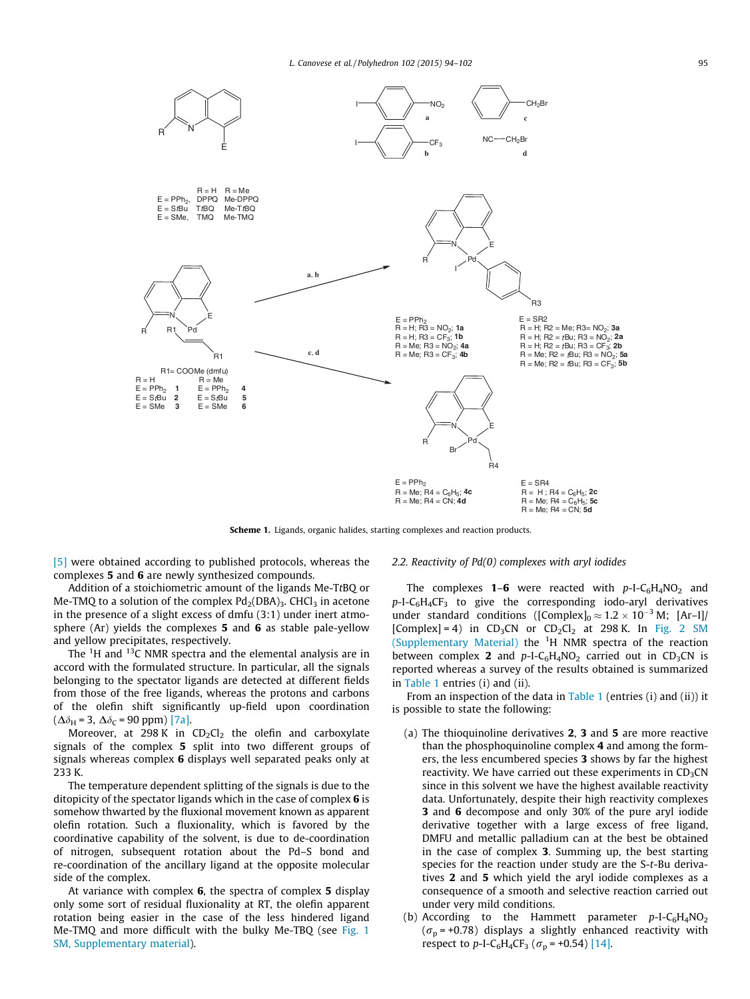<span id="page-1-0"></span>

Scheme 1. Ligands, organic halides, starting complexes and reaction products.

[\[5\]](#page-7-0) were obtained according to published protocols, whereas the complexes 5 and 6 are newly synthesized compounds.

Addition of a stoichiometric amount of the ligands Me-TtBQ or Me-TMQ to a solution of the complex  $Pd_2(DBA)_3$ . CHCl<sub>3</sub> in acetone in the presence of a slight excess of dmfu (3:1) under inert atmosphere (Ar) yields the complexes 5 and 6 as stable pale-yellow and yellow precipitates, respectively.

The  ${}^{1}$ H and  ${}^{13}$ C NMR spectra and the elemental analysis are in accord with the formulated structure. In particular, all the signals belonging to the spectator ligands are detected at different fields from those of the free ligands, whereas the protons and carbons of the olefin shift significantly up-field upon coordination  $(\Delta\delta_H = 3, \Delta\delta_C = 90$  ppm) [\[7a\]](#page-8-0).

Moreover, at 298 K in  $CD_2Cl_2$  the olefin and carboxylate signals of the complex 5 split into two different groups of signals whereas complex 6 displays well separated peaks only at 233 K.

The temperature dependent splitting of the signals is due to the ditopicity of the spectator ligands which in the case of complex 6 is somehow thwarted by the fluxional movement known as apparent olefin rotation. Such a fluxionality, which is favored by the coordinative capability of the solvent, is due to de-coordination of nitrogen, subsequent rotation about the Pd–S bond and re-coordination of the ancillary ligand at the opposite molecular side of the complex.

At variance with complex 6, the spectra of complex 5 display only some sort of residual fluxionality at RT, the olefin apparent rotation being easier in the case of the less hindered ligand Me-TMQ and more difficult with the bulky Me-TBQ (see Fig. 1 SM, Supplementary material).

#### 2.2. Reactivity of Pd(0) complexes with aryl iodides

The complexes  $1-6$  were reacted with  $p-I-C_6H_4NO_2$  and  $p$ -I-C<sub>6</sub>H<sub>4</sub>CF<sub>3</sub> to give the corresponding iodo-aryl derivatives under standard conditions ([Complex] $_0 \approx 1.2 \times 10^{-3}$  M; [Ar–I]/  $[Complex] = 4$ ) in CD<sub>3</sub>CN or CD<sub>2</sub>Cl<sub>2</sub> at 298 K. In Fig. 2 SM (Supplementary Material) the <sup>1</sup>H NMR spectra of the reaction between complex 2 and p-I-C $_{6}H_{4}NO_{2}$  carried out in CD<sub>3</sub>CN is reported whereas a survey of the results obtained is summarized in [Table 1](#page-2-0) entries (i) and (ii).

From an inspection of the data in [Table 1](#page-2-0) (entries (i) and (ii)) it is possible to state the following:

- (a) The thioquinoline derivatives 2, 3 and 5 are more reactive than the phosphoquinoline complex 4 and among the formers, the less encumbered species 3 shows by far the highest reactivity. We have carried out these experiments in  $CD_3CN$ since in this solvent we have the highest available reactivity data. Unfortunately, despite their high reactivity complexes 3 and 6 decompose and only 30% of the pure aryl iodide derivative together with a large excess of free ligand, DMFU and metallic palladium can at the best be obtained in the case of complex 3. Summing up, the best starting species for the reaction under study are the S-t-Bu derivatives 2 and 5 which yield the aryl iodide complexes as a consequence of a smooth and selective reaction carried out under very mild conditions.
- (b) According to the Hammett parameter  $p-I-C_6H_4NO_2$  $(\sigma_{\rm p}$  = +0.78) displays a slightly enhanced reactivity with respect to p-I-C<sub>6</sub>H<sub>4</sub>CF<sub>3</sub> ( $\sigma_p$  = +0.54) [\[14\].](#page-8-0)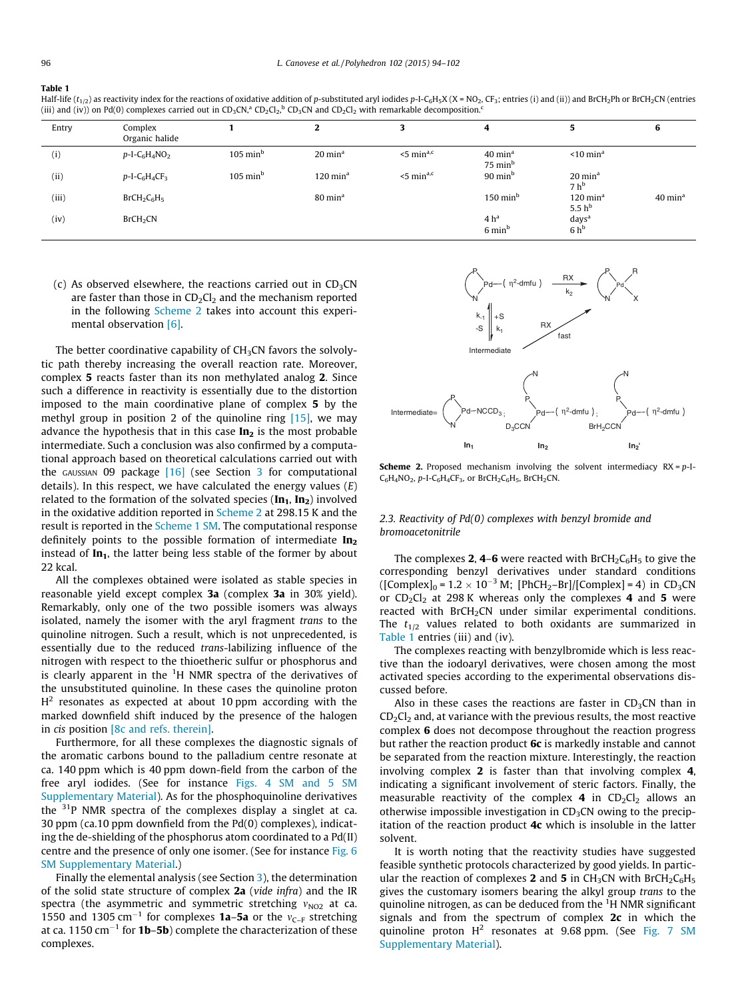#### <span id="page-2-0"></span>Table 1

Half-life ( $t_{1/2}$ ) as reactivity index for the reactions of oxidative addition of p-substituted aryl iodides p-I-C<sub>6</sub>H<sub>5</sub>X (X = NO<sub>2</sub>, CF<sub>3</sub>; entries (i) and (ii)) and BrCH<sub>2</sub>Ph or BrCH<sub>2</sub>CN (entries (iii) and (iv)) on Pd(0) complexes carried out in CD<sub>3</sub>CN,<sup>a</sup> CD<sub>2</sub>Cl<sub>2</sub>,<sup>b</sup> CD<sub>3</sub>CN and CD<sub>2</sub>Cl<sub>2</sub> with remarkable decomposition.<sup>c</sup>

| Entry | Complex<br>Organic halide |                              | ▵                           |                              | 4                                        | э                                               | 6                           |
|-------|---------------------------|------------------------------|-----------------------------|------------------------------|------------------------------------------|-------------------------------------------------|-----------------------------|
| (i)   | $p-I-C6H4NO2$             | $105 \text{ min}^{\text{b}}$ | $20 \text{ min}^a$          | $5 \text{ min}^{\text{a,c}}$ | $40 \text{ min}^a$<br>$75 \text{ min}^b$ | $< 10$ min <sup>a</sup>                         |                             |
| (ii)  | $p-I-C6H4CF3$             | $105 \text{ min}^b$          | $120 \text{ min}^a$         | $<$ 5 min <sup>a,c</sup>     | $90 \text{ min}^{\text{b}}$              | $20 \text{ min}^{\text{a}}$<br>7 h <sup>b</sup> |                             |
| (iii) | $BrCH_2C_6H_5$            |                              | $80 \text{ min}^{\text{a}}$ |                              | $150 \text{ min}^{\text{b}}$             | $120 \text{ min}^a$<br>5.5 $hb$                 | $40 \text{ min}^{\text{a}}$ |
| (iv)  | BrCH <sub>2</sub> CN      |                              |                             |                              | 4h <sup>a</sup><br>$6 \text{ min}^b$     | days <sup>a</sup><br>$6h^b$                     |                             |

(c) As observed elsewhere, the reactions carried out in  $CD_3CN$ are faster than those in  $CD_2Cl_2$  and the mechanism reported in the following Scheme 2 takes into account this experimental observation [\[6\]](#page-7-0).

The better coordinative capability of  $CH<sub>3</sub>CN$  favors the solvolytic path thereby increasing the overall reaction rate. Moreover, complex 5 reacts faster than its non methylated analog 2. Since such a difference in reactivity is essentially due to the distortion imposed to the main coordinative plane of complex 5 by the methyl group in position 2 of the quinoline ring [\[15\]](#page-8-0), we may advance the hypothesis that in this case  $In<sub>2</sub>$  is the most probable intermediate. Such a conclusion was also confirmed by a computational approach based on theoretical calculations carried out with the GAUSSIAN 09 package [\[16\]](#page-8-0) (see Section [3](#page-3-0) for computational details). In this respect, we have calculated the energy values  $(E)$ related to the formation of the solvated species  $(\mathbf{In}_{1}, \mathbf{In}_{2})$  involved in the oxidative addition reported in Scheme 2 at 298.15 K and the result is reported in the Scheme 1 SM. The computational response definitely points to the possible formation of intermediate  $In<sub>2</sub>$ instead of  $In<sub>1</sub>$ , the latter being less stable of the former by about 22 kcal.

All the complexes obtained were isolated as stable species in reasonable yield except complex 3a (complex 3a in 30% yield). Remarkably, only one of the two possible isomers was always isolated, namely the isomer with the aryl fragment trans to the quinoline nitrogen. Such a result, which is not unprecedented, is essentially due to the reduced trans-labilizing influence of the nitrogen with respect to the thioetheric sulfur or phosphorus and is clearly apparent in the  ${}^{1}$ H NMR spectra of the derivatives of the unsubstituted quinoline. In these cases the quinoline proton  $H<sup>2</sup>$  resonates as expected at about 10 ppm according with the marked downfield shift induced by the presence of the halogen in cis position [\[8c and refs. therein\].](#page-8-0)

Furthermore, for all these complexes the diagnostic signals of the aromatic carbons bound to the palladium centre resonate at ca. 140 ppm which is 40 ppm down-field from the carbon of the free aryl iodides. (See for instance Figs. 4 SM and 5 SM Supplementary Material). As for the phosphoquinoline derivatives the  $31P$  NMR spectra of the complexes display a singlet at ca. 30 ppm (ca.10 ppm downfield from the Pd(0) complexes), indicating the de-shielding of the phosphorus atom coordinated to a Pd(II) centre and the presence of only one isomer. (See for instance Fig. 6 SM Supplementary Material.)

Finally the elemental analysis (see Section [3\)](#page-3-0), the determination of the solid state structure of complex 2a (vide infra) and the IR spectra (the asymmetric and symmetric stretching  $v_{NO2}$  at ca. 1550 and 1305 cm<sup>-1</sup> for complexes **1a-5a** or the  $v_{C-F}$  stretching at ca. 1150 cm<sup>-1</sup> for **1b-5b**) complete the characterization of these complexes.



**Scheme 2.** Proposed mechanism involving the solvent intermediacy  $RX = p-I$  $C_6H_4NO_2$ , p-I- $C_6H_4CF_3$ , or BrCH<sub>2</sub>C<sub>6</sub>H<sub>5</sub>, BrCH<sub>2</sub>CN.

# 2.3. Reactivity of Pd(0) complexes with benzyl bromide and bromoacetonitrile

The complexes 2, 4–6 were reacted with BrCH<sub>2</sub>C<sub>6</sub>H<sub>5</sub> to give the corresponding benzyl derivatives under standard conditions  $\left(\frac{[Complex]_0 = 1.2 \times 10^{-3} \text{ M}}{\text{[PhCH}_2 - \text{Br}]/[Complex] = 4}\right)$  in CD<sub>3</sub>CN or  $CD_2Cl_2$  at 298 K whereas only the complexes 4 and 5 were reacted with BrCH<sub>2</sub>CN under similar experimental conditions. The  $t_{1/2}$  values related to both oxidants are summarized in Table 1 entries (iii) and (iv).

The complexes reacting with benzylbromide which is less reactive than the iodoaryl derivatives, were chosen among the most activated species according to the experimental observations discussed before.

Also in these cases the reactions are faster in  $CD_3CN$  than in  $CD_2Cl_2$  and, at variance with the previous results, the most reactive complex 6 does not decompose throughout the reaction progress but rather the reaction product **6c** is markedly instable and cannot be separated from the reaction mixture. Interestingly, the reaction involving complex 2 is faster than that involving complex 4, indicating a significant involvement of steric factors. Finally, the measurable reactivity of the complex  $4$  in CD<sub>2</sub>Cl<sub>2</sub> allows an otherwise impossible investigation in  $CD<sub>3</sub>CN$  owing to the precipitation of the reaction product 4c which is insoluble in the latter solvent.

It is worth noting that the reactivity studies have suggested feasible synthetic protocols characterized by good yields. In particular the reaction of complexes 2 and 5 in CH<sub>3</sub>CN with BrCH<sub>2</sub>C<sub>6</sub>H<sub>5</sub> gives the customary isomers bearing the alkyl group trans to the quinoline nitrogen, as can be deduced from the <sup>1</sup>H NMR significant signals and from the spectrum of complex  $2c$  in which the quinoline proton  $H^2$  resonates at 9.68 ppm. (See Fig. 7 SM Supplementary Material).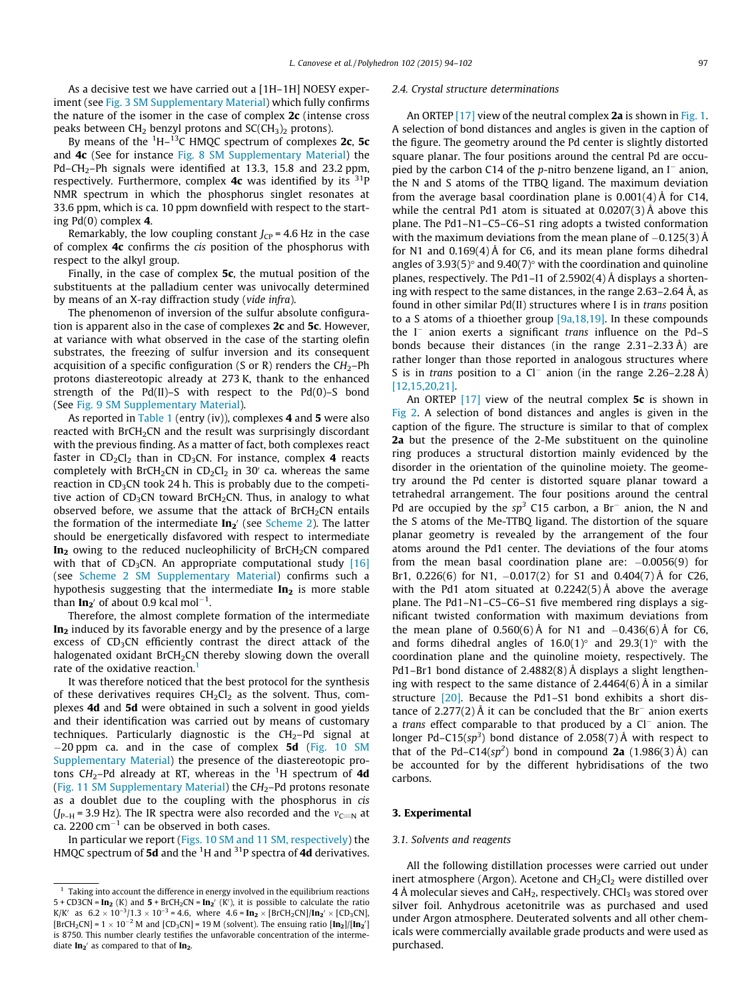<span id="page-3-0"></span>As a decisive test we have carried out a [1H–1H] NOESY experiment (see Fig. 3 SM Supplementary Material) which fully confirms the nature of the isomer in the case of complex 2c (intense cross peaks between  $CH_2$  benzyl protons and  $SC(CH_3)_2$  protons).

By means of the  $\rm ^1H-^{13}C$  HMQC spectrum of complexes 2c, 5c and 4c (See for instance Fig. 8 SM Supplementary Material) the Pd–CH<sub>2</sub>–Ph signals were identified at 13.3, 15.8 and 23.2 ppm, respectively. Furthermore, complex **4c** was identified by its  $31P$ NMR spectrum in which the phosphorus singlet resonates at 33.6 ppm, which is ca. 10 ppm downfield with respect to the starting Pd(0) complex 4.

Remarkably, the low coupling constant  $J_{CP}$  = 4.6 Hz in the case of complex 4c confirms the cis position of the phosphorus with respect to the alkyl group.

Finally, in the case of complex 5c, the mutual position of the substituents at the palladium center was univocally determined by means of an X-ray diffraction study (vide infra).

The phenomenon of inversion of the sulfur absolute configuration is apparent also in the case of complexes 2c and 5c. However, at variance with what observed in the case of the starting olefin substrates, the freezing of sulfur inversion and its consequent acquisition of a specific configuration (S or R) renders the  $CH<sub>2</sub>$ –Ph protons diastereotopic already at 273 K, thank to the enhanced strength of the Pd(II)–S with respect to the Pd(0)–S bond (See Fig. 9 SM Supplementary Material).

As reported in [Table 1](#page-2-0) (entry (iv)), complexes 4 and 5 were also reacted with  $BrCH<sub>2</sub>CN$  and the result was surprisingly discordant with the previous finding. As a matter of fact, both complexes react faster in  $CD_2Cl_2$  than in  $CD_3CN$ . For instance, complex 4 reacts completely with BrCH<sub>2</sub>CN in CD<sub>2</sub>Cl<sub>2</sub> in 30' ca. whereas the same reaction in  $CD_3CN$  took 24 h. This is probably due to the competitive action of  $CD_3CN$  toward BrCH<sub>2</sub>CN. Thus, in analogy to what observed before, we assume that the attack of  $BrCH<sub>2</sub>CN$  entails the formation of the intermediate In<sub>2</sub>' (see [Scheme 2](#page-2-0)). The latter should be energetically disfavored with respect to intermediate  $In_2$  owing to the reduced nucleophilicity of BrCH<sub>2</sub>CN compared with that of  $CD_3CN$ . An appropriate computational study [\[16\]](#page-8-0) (see Scheme 2 SM Supplementary Material) confirms such a hypothesis suggesting that the intermediate  $In<sub>2</sub>$  is more stable than  $\text{In}_{\textbf{2}^{'}}$  of about 0.9 kcal mol $^{-1}$ .

Therefore, the almost complete formation of the intermediate In<sub>2</sub> induced by its favorable energy and by the presence of a large excess of  $CD_3CN$  efficiently contrast the direct attack of the halogenated oxidant BrCH<sub>2</sub>CN thereby slowing down the overall rate of the oxidative reaction.<sup>1</sup>

It was therefore noticed that the best protocol for the synthesis of these derivatives requires  $CH_2Cl_2$  as the solvent. Thus, complexes 4d and 5d were obtained in such a solvent in good yields and their identification was carried out by means of customary techniques. Particularly diagnostic is the  $CH<sub>2</sub>$ -Pd signal at  $-20$  ppm ca. and in the case of complex **5d** (Fig. 10 SM Supplementary Material) the presence of the diastereotopic protons CH<sub>2</sub>–Pd already at RT, whereas in the  $^1$ H spectrum of **4d** (Fig. 11 SM Supplementary Material) the  $CH<sub>2</sub>$ -Pd protons resonate as a doublet due to the coupling with the phosphorus in cis  $(J_{P-H} = 3.9 \text{ Hz})$ . The IR spectra were also recorded and the  $v_{C=NI}$  at ca. 2200  $\text{cm}^{-1}$  can be observed in both cases.

In particular we report (Figs. 10 SM and 11 SM, respectively) the HMQC spectrum of **5d** and the <sup>1</sup>H and <sup>31</sup>P spectra of **4d** derivatives.

#### 2.4. Crystal structure determinations

An ORTEP [\[17\]](#page-8-0) view of the neutral complex **2a** is shown in [Fig. 1.](#page-4-0) A selection of bond distances and angles is given in the caption of the figure. The geometry around the Pd center is slightly distorted square planar. The four positions around the central Pd are occupied by the carbon C14 of the *p*-nitro benzene ligand, an  $I^-$  anion, the N and S atoms of the TTBQ ligand. The maximum deviation from the average basal coordination plane is 0.001(4) Å for C14, while the central Pd1 atom is situated at 0.0207(3) Å above this plane. The Pd1–N1–C5–C6–S1 ring adopts a twisted conformation with the maximum deviations from the mean plane of  $-0.125(3)$  Å for N1 and 0.169(4) Å for C6, and its mean plane forms dihedral angles of 3.93(5) $\degree$  and 9.40(7) $\degree$  with the coordination and quinoline planes, respectively. The Pd1–I1 of 2.5902(4) Å displays a shortening with respect to the same distances, in the range 2.63–2.64 Å, as found in other similar Pd(II) structures where I is in trans position to a S atoms of a thioether group [9a,18,19]. In these compounds the  $I^-$  anion exerts a significant trans influence on the Pd-S bonds because their distances (in the range 2.31–2.33 Å) are rather longer than those reported in analogous structures where S is in trans position to a  $Cl^-$  anion (in the range 2.26–2.28 Å) [\[12,15,20,21\]](#page-8-0).

An ORTEP  $[17]$  view of the neutral complex **5c** is shown in [Fig 2](#page-4-0). A selection of bond distances and angles is given in the caption of the figure. The structure is similar to that of complex 2a but the presence of the 2-Me substituent on the quinoline ring produces a structural distortion mainly evidenced by the disorder in the orientation of the quinoline moiety. The geometry around the Pd center is distorted square planar toward a tetrahedral arrangement. The four positions around the central Pd are occupied by the  $sp^3$  C15 carbon, a Br<sup>-</sup> anion, the N and the S atoms of the Me-TTBQ ligand. The distortion of the square planar geometry is revealed by the arrangement of the four atoms around the Pd1 center. The deviations of the four atoms from the mean basal coordination plane are:  $-0.0056(9)$  for Br1, 0.226(6) for N1,  $-0.017(2)$  for S1 and 0.404(7)Å for C26, with the Pd1 atom situated at 0.2242(5) Å above the average plane. The Pd1–N1–C5–C6–S1 five membered ring displays a significant twisted conformation with maximum deviations from the mean plane of 0.560(6) Å for N1 and  $-0.436(6)$  Å for C6, and forms dihedral angles of  $16.0(1)^\circ$  and  $29.3(1)^\circ$  with the coordination plane and the quinoline moiety, respectively. The Pd1–Br1 bond distance of 2.4882(8) Å displays a slight lengthening with respect to the same distance of 2.4464(6) Å in a similar structure [\[20\].](#page-8-0) Because the Pd1–S1 bond exhibits a short distance of 2.277(2) Å it can be concluded that the  $Br^-$  anion exerts a trans effect comparable to that produced by a  $Cl^-$  anion. The longer Pd–C15(sp<sup>3</sup>) bond distance of 2.058(7) Å with respect to that of the Pd–C14(sp<sup>2</sup>) bond in compound 2a (1.986(3) Å) can be accounted for by the different hybridisations of the two carbons.

# 3. Experimental

### 3.1. Solvents and reagents

All the following distillation processes were carried out under inert atmosphere (Argon). Acetone and  $CH<sub>2</sub>Cl<sub>2</sub>$  were distilled over 4 Å molecular sieves and CaH<sub>2</sub>, respectively. CHCl<sub>3</sub> was stored over silver foil. Anhydrous acetonitrile was as purchased and used under Argon atmosphere. Deuterated solvents and all other chemicals were commercially available grade products and were used as purchased.

 $^{\rm 1}$  Taking into account the difference in energy involved in the equilibrium reactions 5 + CD3CN =  $\text{In}_{2}$  (K) and  $\text{5}$  + BrCH<sub>2</sub>CN =  $\text{In}_{2}'$  (K'), it is possible to calculate the ratio K/K' as  $6.2 \times 10^{-3} / 1.3 \times 10^{-3} = 4.6$ , where  $4.6 = \ln_2 \times [BrCH_2CN] / \ln_2' \times [CD_3CN]$ [BrCH<sub>2</sub>CN] =  $1 \times 10^{-2}$  M and [CD<sub>3</sub>CN] = 19 M (solvent). The ensuing ratio [**In**<sub>2</sub>]/[**In**<sub>2</sub>'] is 8750. This number clearly testifies the unfavorable concentration of the intermediate  $\text{In}_{2}{}'$  as compared to that of  $\text{In}_{2}$ .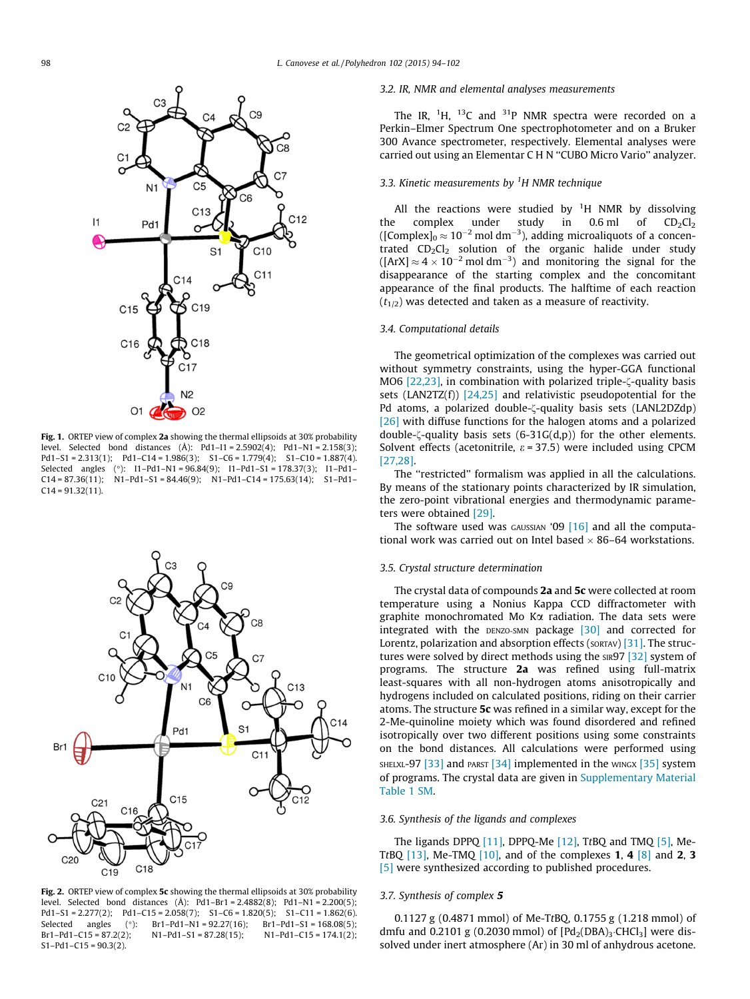<span id="page-4-0"></span>

Fig. 1. ORTEP view of complex 2a showing the thermal ellipsoids at 30% probability level. Selected bond distances (Å): Pd1–I1 = 2.5902(4); Pd1–N1 = 2.158(3); Pd1–S1 = 2.313(1); Pd1–C14 = 1.986(3); S1–C6 = 1.779(4); S1–C10 = 1.887(4). Selected angles (°):  $I1-Pd1-N1 = 96.84(9)$ ;  $I1-Pd1-S1 = 178.37(3)$ ;  $I1-Pd1-Pd1-S1 = 178.37(3)$  $C14 = 87.36(11);$  N1–Pd1–S1 = 84.46(9); N1–Pd1–C14 = 175.63(14); S1–Pd1–  $C14 = 91.32(11)$ .



Fig. 2. ORTEP view of complex 5c showing the thermal ellipsoids at 30% probability level. Selected bond distances (Å): Pd1–Br1 = 2.4882(8); Pd1–N1 = 2.200(5); Pd1–S1 = 2.277(2); Pd1–C15 = 2.058(7); S1–C6 = 1.820(5); S1–C11 = 1.862(6). Selected angles (°): Br1-Pd1-N1 = 92.27(16); Br1-Pd1-S1 = 168.08(5);  $Br1-Pd1-C15 = 87.2(2);$   $N1-Pd1-S1 = 87.28(15);$   $N1-Pd1-C15 = 174.1(2);$  $S1-Pd1-C15 = 90.3(2)$ .

### 3.2. IR, NMR and elemental analyses measurements

The IR,  ${}^{1}$ H,  ${}^{13}$ C and  ${}^{31}$ P NMR spectra were recorded on a Perkin–Elmer Spectrum One spectrophotometer and on a Bruker 300 Avance spectrometer, respectively. Elemental analyses were carried out using an Elementar C H N ''CUBO Micro Vario'' analyzer.

# 3.3. Kinetic measurements by  ${}^{1}H$  NMR technique

All the reactions were studied by  ${}^{1}$ H NMR by dissolving the complex under study in  $0.6$  ml of  $CD_2Cl_2$ ([Complex] $_0 \approx 10^{-2}$  mol dm<sup>-3</sup>), adding microaliquots of a concentrated  $CD_2Cl_2$  solution of the organic halide under study  $([ArX] \approx 4 \times 10^{-2}$  moldm<sup>-3</sup>) and monitoring the signal for the disappearance of the starting complex and the concomitant appearance of the final products. The halftime of each reaction  $(t_{1/2})$  was detected and taken as a measure of reactivity.

### 3.4. Computational details

The geometrical optimization of the complexes was carried out without symmetry constraints, using the hyper-GGA functional MO6  $[22,23]$ , in combination with polarized triple- $\zeta$ -quality basis sets (LAN2TZ(f)) [\[24,25\]](#page-8-0) and relativistic pseudopotential for the Pd atoms, a polarized double- $\zeta$ -quality basis sets (LANL2DZdp) [\[26\]](#page-8-0) with diffuse functions for the halogen atoms and a polarized double- $\zeta$ -quality basis sets (6-31G(d,p)) for the other elements. Solvent effects (acetonitrile,  $\varepsilon$  = 37.5) were included using CPCM [\[27,28\].](#page-8-0)

The ''restricted'' formalism was applied in all the calculations. By means of the stationary points characterized by IR simulation, the zero-point vibrational energies and thermodynamic parameters were obtained [\[29\]](#page-8-0).

The software used was GAUSSIAN '09  $[16]$  and all the computational work was carried out on Intel based  $\times$  86–64 workstations.

# 3.5. Crystal structure determination

The crystal data of compounds 2a and 5c were collected at room temperature using a Nonius Kappa CCD diffractometer with graphite monochromated Mo Ka radiation. The data sets were integrated with the DENZO-SMN package [\[30\]](#page-8-0) and corrected for Lorentz, polarization and absorption effects ( $SORTAV$ ) [\[31\].](#page-8-0) The structures were solved by direct methods using the  $\text{SIR97}$  [\[32\]](#page-8-0) system of programs. The structure 2a was refined using full-matrix least-squares with all non-hydrogen atoms anisotropically and hydrogens included on calculated positions, riding on their carrier atoms. The structure 5c was refined in a similar way, except for the 2-Me-quinoline moiety which was found disordered and refined isotropically over two different positions using some constraints on the bond distances. All calculations were performed using SHELXL-97  $[33]$  and PARST  $[34]$  implemented in the WINGX  $[35]$  system of programs. The crystal data are given in Supplementary Material Table 1 SM.

#### 3.6. Synthesis of the ligands and complexes

The ligands DPPQ [\[11\]](#page-8-0), DPPQ-Me [\[12\]](#page-8-0), TtBQ and TMQ [\[5\],](#page-7-0) Me-TtBQ  $[13]$ , Me-TMQ  $[10]$ , and of the complexes 1, 4  $[8]$  and 2, 3 [\[5\]](#page-7-0) were synthesized according to published procedures.

### 3.7. Synthesis of complex 5

0.1127 g (0.4871 mmol) of Me-TtBQ, 0.1755 g (1.218 mmol) of dmfu and 0.2101 g (0.2030 mmol) of  $[Pd_2(DBA)_3$ ·CHCl<sub>3</sub>] were dissolved under inert atmosphere (Ar) in 30 ml of anhydrous acetone.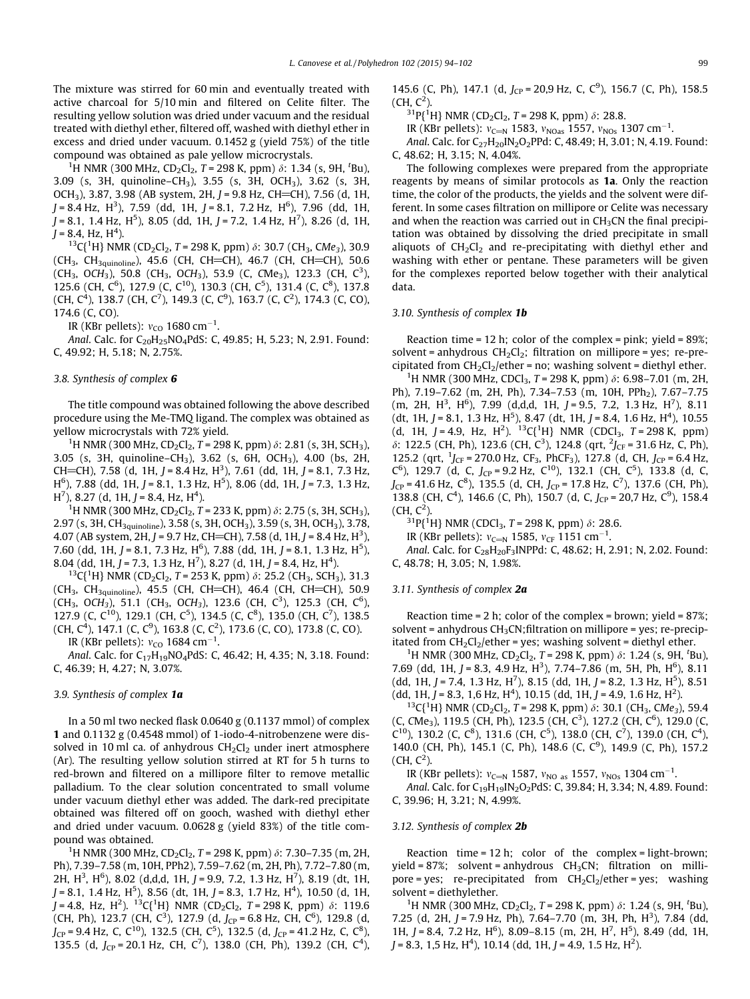The mixture was stirred for 60 min and eventually treated with active charcoal for 5/10 min and filtered on Celite filter. The resulting yellow solution was dried under vacuum and the residual treated with diethyl ether, filtered off, washed with diethyl ether in excess and dried under vacuum. 0.1452 g (yield 75%) of the title compound was obtained as pale yellow microcrystals.

<sup>1</sup>H NMR (300 MHz, CD<sub>2</sub>Cl<sub>2</sub>, *T* = 298 K, ppm)  $\delta$ : 1.34 (s, 9H, <sup>t</sup>Bu), 3.09 (s, 3H, quinoline–CH3), 3.55 (s, 3H, OCH3), 3.62 (s, 3H, OCH<sub>3</sub>), 3.87, 3.98 (AB system, 2H,  $J = 9.8$  Hz, CH=CH), 7.56 (d, 1H,  $J = 8.4$  Hz, H<sup>3</sup>), 7.59 (dd, 1H,  $J = 8.1$ , 7.2 Hz, H<sup>6</sup>), 7.96 (dd, 1H,  $J = 8.1, 1.4$  Hz,  $H^5$ ), 8.05 (dd, 1H,  $J = 7.2, 1.4$  Hz,  $H^7$ ), 8.26 (d, 1H,  $J = 8.4$ , Hz, H<sup>4</sup>).

<sup>13</sup>C{<sup>1</sup>H} NMR (CD<sub>2</sub>Cl<sub>2</sub>, *T* = 298 K, ppm)  $\delta$ : 30.7 (CH<sub>3</sub>, CMe<sub>3</sub>), 30.9 (CH<sub>3</sub>, CH<sub>3quinoline</sub>), 45.6 (CH, CH=CH), 46.7 (CH, CH=CH), 50.6 (CH<sub>3</sub>, OCH<sub>3</sub>), 50.8 (CH<sub>3</sub>, OCH<sub>3</sub>), 53.9 (C, CMe<sub>3</sub>), 123.3 (CH, C<sup>3</sup>), 125.6 (CH, C<sup>6</sup>), 127.9 (C, C<sup>10</sup>), 130.3 (CH, C<sup>5</sup>), 131.4 (C, C<sup>8</sup>), 137.8 (CH, C<sup>4</sup>), 138.7 (CH, C<sup>7</sup>), 149.3 (C, C<sup>9</sup>), 163.7 (C, C<sup>2</sup>), 174.3 (C, CO), 174.6 (C, CO).

IR (KBr pellets):  $v_{\text{CO}}$  1680 cm<sup>-1</sup>.

Anal. Calc. for  $C_{20}H_{25}NO_4PdS$ : C, 49.85; H, 5.23; N, 2.91. Found: C, 49.92; H, 5.18; N, 2.75%.

# 3.8. Synthesis of complex 6

The title compound was obtained following the above described procedure using the Me-TMQ ligand. The complex was obtained as yellow microcrystals with 72% yield.

<sup>1</sup>H NMR (300 MHz, CD<sub>2</sub>Cl<sub>2</sub>, T = 298 K, ppm)  $\delta$ : 2.81 (s, 3H, SCH<sub>3</sub>), 3.05 (s, 3H, quinoline–CH3), 3.62 (s, 6H, OCH3), 4.00 (bs, 2H,  $CH=CH$ ), 7.58 (d, 1H, J = 8.4 Hz, H<sup>3</sup>), 7.61 (dd, 1H, J = 8.1, 7.3 Hz, H<sup>6</sup>), 7.88 (dd, 1H, J = 8.1, 1.3 Hz, H<sup>5</sup>), 8.06 (dd, 1H, J = 7.3, 1.3 Hz, H<sup>7</sup>), 8.27 (d, 1H, J = 8.4, Hz, H<sup>4</sup>).

<sup>1</sup>H NMR (300 MHz, CD<sub>2</sub>Cl<sub>2</sub>, *T* = 233 K, ppm)  $\delta$ : 2.75 (s, 3H, SCH<sub>3</sub>), 2.97 (s, 3H, CH3quinoline), 3.58 (s, 3H, OCH3), 3.59 (s, 3H, OCH3), 3.78, 4.07 (AB system, 2H, J = 9.7 Hz, CH=CH), 7.58 (d, 1H, J = 8.4 Hz, H<sup>3</sup>), 7.60 (dd, 1H, J = 8.1, 7.3 Hz, H<sup>6</sup>), 7.88 (dd, 1H, J = 8.1, 1.3 Hz, H<sup>5</sup>), 8.04 (dd, 1H, J = 7.3, 1.3 Hz, H<sup>7</sup>), 8.27 (d, 1H, J = 8.4, Hz, H<sup>4</sup>).

<sup>13</sup>C{<sup>1</sup>H} NMR (CD<sub>2</sub>Cl<sub>2</sub>, T = 253 K, ppm)  $\delta$ : 25.2 (CH<sub>3</sub>, SCH<sub>3</sub>), 31.3 (CH<sub>3</sub>, CH<sub>3quinoline</sub>), 45.5 (CH, CH=CH), 46.4 (CH, CH=CH), 50.9 (CH<sub>3</sub>, OCH<sub>3</sub>), 51.1 (CH<sub>3</sub>, OCH<sub>3</sub>), 123.6 (CH, C<sup>3</sup>), 125.3 (CH, C<sup>6</sup>), 127.9 (C,  $C^{10}$ ), 129.1 (CH,  $C^5$ ), 134.5 (C,  $C^8$ ), 135.0 (CH,  $C^7$ ), 138.5 (CH, C<sup>4</sup>), 147.1 (C, C<sup>9</sup>), 163.8 (C, C<sup>2</sup>), 173.6 (C, CO), 173.8 (C, CO).

IR (KBr pellets):  $v_{\text{CO}}$  1684 cm<sup>-1</sup>.

Anal. Calc. for C<sub>17</sub>H<sub>19</sub>NO<sub>4</sub>PdS: C, 46.42; H, 4.35; N, 3.18. Found: C, 46.39; H, 4.27; N, 3.07%.

#### 3.9. Synthesis of complex 1a

In a 50 ml two necked flask 0.0640 g (0.1137 mmol) of complex 1 and 0.1132 g (0.4548 mmol) of 1-iodo-4-nitrobenzene were dissolved in 10 ml ca. of anhydrous  $CH<sub>2</sub>Cl<sub>2</sub>$  under inert atmosphere (Ar). The resulting yellow solution stirred at RT for 5 h turns to red-brown and filtered on a millipore filter to remove metallic palladium. To the clear solution concentrated to small volume under vacuum diethyl ether was added. The dark-red precipitate obtained was filtered off on gooch, washed with diethyl ether and dried under vacuum. 0.0628 g (yield 83%) of the title compound was obtained.

<sup>1</sup>H NMR (300 MHz, CD<sub>2</sub>Cl<sub>2</sub>, T = 298 K, ppm)  $\delta$ : 7.30–7.35 (m, 2H, Ph), 7.39–7.58 (m, 10H, PPh2), 7.59–7.62 (m, 2H, Ph), 7.72–7.80 (m, 2H,  $H^3$ ,  $H^6$ ), 8.02 (d,d,d, 1H, J = 9.9, 7.2, 1.3 Hz,  $H^7$ ), 8.19 (dt, 1H,  $J = 8.1, 1.4$  Hz,  $H^5$ ), 8.56 (dt, 1H,  $J = 8.3, 1.7$  Hz,  $H^4$ ), 10.50 (d, 1H,  $J = 4.8$ , Hz, H<sup>2</sup>). <sup>13</sup>C{<sup>1</sup>H} NMR (CD<sub>2</sub>Cl<sub>2</sub>, T = 298 K, ppm)  $\delta$ : 119.6 (CH, Ph), 123.7 (CH, C<sup>3</sup>), 127.9 (d, J<sub>CP</sub> = 6.8 Hz, CH, C<sup>6</sup>), 129.8 (d,  $J_{\text{CP}}$  = 9.4 Hz, C, C<sup>10</sup>), 132.5 (CH, C<sup>5</sup>), 132.5 (d,  $J_{\text{CP}}$  = 41.2 Hz, C, C<sup>8</sup>), 135.5 (d,  $J_{CP}$  = 20.1 Hz, CH, C<sup>7</sup>), 138.0 (CH, Ph), 139.2 (CH, C<sup>4</sup>),

145.6 (C, Ph), 147.1 (d,  $J_{CP}$  = 20,9 Hz, C, C<sup>9</sup>), 156.7 (C, Ph), 158.5  $(CH, C<sup>2</sup>)$ .

 ${}^{31}P{^1H}$  NMR (CD<sub>2</sub>Cl<sub>2</sub>, T = 298 K, ppm)  $\delta$ : 28.8. IR (KBr pellets):  $v_{\text{C=N}}$  1583,  $v_{\text{NOas}}$  1557,  $v_{\text{NOs}}$  1307 cm<sup>-1</sup>. Anal. Calc. for C<sub>27</sub>H<sub>20</sub>IN<sub>2</sub>O<sub>2</sub>PPd: C, 48.49; H, 3.01; N, 4.19. Found: C, 48.62; H, 3.15; N, 4.04%.

The following complexes were prepared from the appropriate reagents by means of similar protocols as 1a. Only the reaction time, the color of the products, the yields and the solvent were different. In some cases filtration on millipore or Celite was necessary and when the reaction was carried out in  $CH<sub>3</sub>CN$  the final precipitation was obtained by dissolving the dried precipitate in small aliquots of  $CH_2Cl_2$  and re-precipitating with diethyl ether and washing with ether or pentane. These parameters will be given for the complexes reported below together with their analytical data.

### 3.10. Synthesis of complex 1b

Reaction time = 12 h; color of the complex = pink; yield = 89%; solvent = anhydrous  $CH_2Cl_2$ ; filtration on millipore = yes; re-precipitated from  $CH_2Cl_2/$ ether = no; washing solvent = diethyl ether.

<sup>1</sup>H NMR (300 MHz, CDCl<sub>3</sub>, T = 298 K, ppm)  $\delta$ : 6.98–7.01 (m, 2H, Ph), 7.19–7.62 (m, 2H, Ph), 7.34–7.53 (m, 10H, PPh<sub>2</sub>), 7.67–7.75  $(m, 2H, H^3, H^6)$ , 7.99 (d,d,d, 1H, J = 9.5, 7.2, 1.3 Hz, H<sup>7</sup>), 8.11 (dt, 1H, J = 8.1, 1.3 Hz, H<sup>5</sup>), 8.47 (dt, 1H, J = 8.4, 1.6 Hz, H<sup>4</sup>), 10.55 (d, 1H, J = 4.9, Hz, H<sup>2</sup>). <sup>13</sup>C{<sup>1</sup>H} NMR (CDCl<sub>3</sub>, T = 298 K, ppm)  $\delta$ : 122.5 (CH, Ph), 123.6 (CH, C<sup>3</sup>), 124.8 (qrt, <sup>2</sup>J<sub>CF</sub> = 31.6 Hz, C, Ph), 125.2 (qrt,  $^{1}$ J<sub>CF</sub> = 270.0 Hz, CF<sub>3</sub>, PhCF<sub>3</sub>), 127.8 (d, CH, J<sub>CP</sub> = 6.4 Hz,  $C^6$ ), 129.7 (d, C,  $J_{CP}$  = 9.2 Hz,  $C^{10}$ ), 132.1 (CH,  $C^5$ ), 133.8 (d, C,  $J_{CP}$  = 41.6 Hz,  $C^8$ ), 135.5 (d, CH,  $J_{CP}$  = 17.8 Hz,  $C^7$ ), 137.6 (CH, Ph), 138.8 (CH,  $C^4$ ), 146.6 (C, Ph), 150.7 (d, C,  $J_{CP}$  = 20,7 Hz,  $C^9$ ), 158.4  $(CH, C<sup>2</sup>)$ .

 ${}^{31}P{^1H}$  NMR (CDCl<sub>3</sub>, T = 298 K, ppm)  $\delta$ : 28.6.

IR (KBr pellets):  $v_{C=N}$  1585,  $v_{CF}$  1151 cm<sup>-1</sup>.

Anal. Calc. for C<sub>28</sub>H<sub>20</sub>F<sub>3</sub>INPPd: C, 48.62; H, 2.91; N, 2.02. Found: C, 48.78; H, 3.05; N, 1.98%.

# 3.11. Synthesis of complex 2a

Reaction time = 2 h; color of the complex = brown; yield = 87%; solvent = anhydrous  $CH<sub>3</sub>CN$ ; filtration on millipore = yes; re-precipitated from  $CH_2Cl_2$ /ether = yes; washing solvent = diethyl ether.

H NMR (300 MHz, CD<sub>2</sub>Cl<sub>2</sub>, T = 298 K, ppm)  $\delta$ : 1.24 (s, 9H, <sup>t</sup>Bu), 7.69 (dd, 1H,  $J = 8.3$ , 4.9 Hz, H<sup>3</sup>), 7.74-7.86 (m, 5H, Ph, H<sup>6</sup>), 8.11 (dd, 1H, J = 7.4, 1.3 Hz,  $H^7$ ), 8.15 (dd, 1H, J = 8.2, 1.3 Hz,  $H^5$ ), 8.51  $(dd, 1H, J = 8.3, 1.6 Hz, H<sup>4</sup>$ ), 10.15 (dd, 1H,  $J = 4.9, 1.6 Hz, H<sup>2</sup>$ ).

<sup>13</sup>C{<sup>1</sup>H} NMR (CD<sub>2</sub>Cl<sub>2</sub>, T = 298 K, ppm)  $\delta$ : 30.1 (CH<sub>3</sub>, CMe<sub>3</sub>), 59.4 (C, CMe<sub>3</sub>), 119.5 (CH, Ph), 123.5 (CH, C<sup>3</sup>), 127.2 (CH, C<sup>6</sup>), 129.0 (C,  $C^{10}$ ), 130.2 (C,  $C^8$ ), 131.6 (CH,  $C^5$ ), 138.0 (CH,  $C^7$ ), 139.0 (CH,  $C^4$ ), 140.0 (CH, Ph), 145.1 (C, Ph), 148.6 (C, C<sup>9</sup>), 149.9 (C, Ph), 157.2  $(CH, C<sup>2</sup>)$ .

IR (KBr pellets):  $v_{\text{C=N}}$  1587,  $v_{\text{NO as}}$  1557,  $v_{\text{NOs}}$  1304 cm<sup>-1</sup>.

Anal. Calc. for C<sub>19</sub>H<sub>19</sub>IN<sub>2</sub>O<sub>2</sub>PdS: C, 39.84; H, 3.34; N, 4.89. Found: C, 39.96; H, 3.21; N, 4.99%.

### 3.12. Synthesis of complex 2b

Reaction time =  $12 h$ ; color of the complex = light-brown; yield = 87%; solvent = anhydrous  $CH<sub>3</sub>CN$ ; filtration on millipore = yes; re-precipitated from  $CH_2Cl_2/$ ether = yes; washing solvent = diethylether.

<sup>1</sup>H NMR (300 MHz, CD<sub>2</sub>Cl<sub>2</sub>, *T* = 298 K, ppm)  $\delta$ : 1.24 (s, 9H, <sup>t</sup>Bu), 7.25 (d, 2H,  $J = 7.9$  Hz, Ph), 7.64–7.70 (m, 3H, Ph,  $H^3$ ), 7.84 (dd, 1H,  $J = 8.4$ , 7.2 Hz,  $H^6$ ), 8.09–8.15 (m, 2H,  $H^7$ ,  $H^5$ ), 8.49 (dd, 1H,  $J = 8.3, 1.5$  Hz, H<sup>4</sup>), 10.14 (dd, 1H, J = 4.9, 1.5 Hz, H<sup>2</sup>).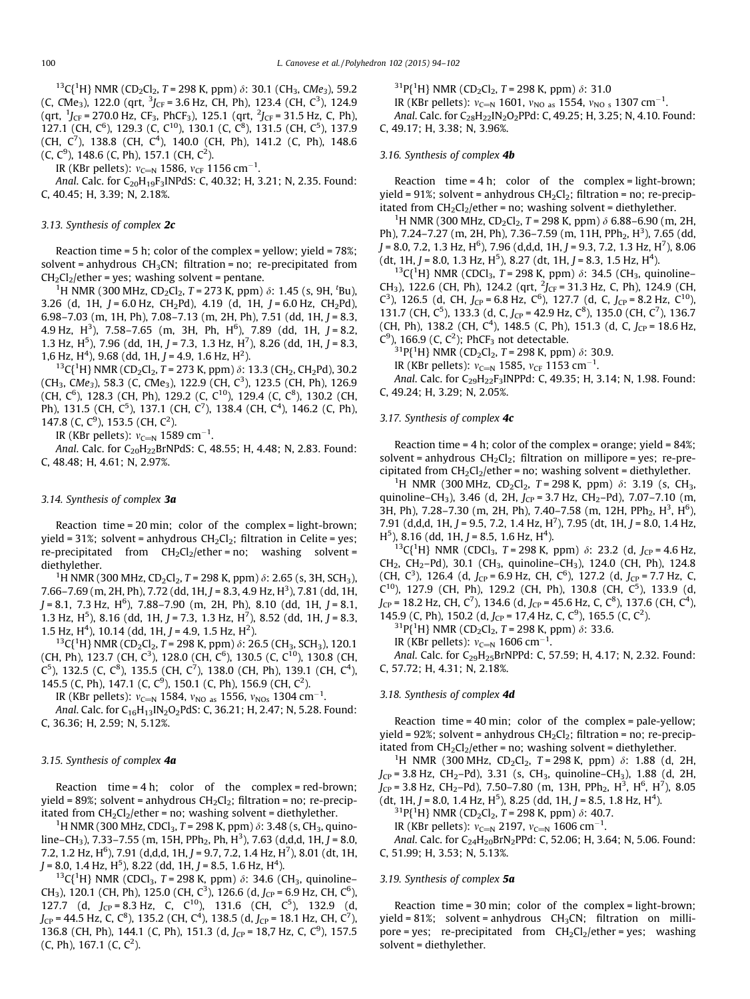<sup>13</sup>C{<sup>1</sup>H} NMR (CD<sub>2</sub>Cl<sub>2</sub>, T = 298 K, ppm)  $\delta$ : 30.1 (CH<sub>3</sub>, CMe<sub>3</sub>), 59.2 (C, CMe<sub>3</sub>), 122.0 (qrt,  ${}^{3}$ J<sub>CF</sub> = 3.6 Hz, CH, Ph), 123.4 (CH, C<sup>3</sup>), 124.9 (qrt,  $^{1}$ J<sub>CF</sub> = 270.0 Hz, CF<sub>3</sub>, PhCF<sub>3</sub>), 125.1 (qrt, <sup>2</sup>J<sub>CF</sub> = 31.5 Hz, C, Ph), 127.1 (CH,  $C^6$ ), 129.3 (C,  $C^{10}$ ), 130.1 (C,  $C^8$ ), 131.5 (CH,  $C^5$ ), 137.9 (CH, C<sup>7</sup>), 138.8 (CH, C<sup>4</sup>), 140.0 (CH, Ph), 141.2 (C, Ph), 148.6 (C, C<sup>9</sup>), 148.6 (C, Ph), 157.1 (CH, C<sup>2</sup>).

IR (KBr pellets):  $v_{\rm C=N}$  1586,  $v_{\rm CF}$  1156 cm<sup>-1</sup>.

Anal. Calc. for  $C_{20}H_{19}F_3$ INPdS: C, 40.32; H, 3.21; N, 2.35. Found: C, 40.45; H, 3.39; N, 2.18%.

# 3.13. Synthesis of complex 2c

Reaction time = 5 h; color of the complex = yellow; yield = 78%; solvent = anhydrous  $CH<sub>3</sub>CN$ ; filtration = no; re-precipitated from  $CH_2Cl_2$ /ether = yes; washing solvent = pentane.

H NMR (300 MHz, CD<sub>2</sub>Cl<sub>2</sub>, T = 273 K, ppm)  $\delta$ : 1.45 (s, 9H, <sup>t</sup>Bu), 3.26 (d, 1H,  $J = 6.0$  Hz, CH<sub>2</sub>Pd), 4.19 (d, 1H,  $J = 6.0$  Hz, CH<sub>2</sub>Pd), 6.98–7.03 (m, 1H, Ph), 7.08–7.13 (m, 2H, Ph), 7.51 (dd, 1H,  $J = 8.3$ , 4.9 Hz, H<sup>3</sup>), 7.58–7.65 (m, 3H, Ph, H<sup>6</sup>), 7.89 (dd, 1H, J = 8.2, 1.3 Hz,  $H^5$ ), 7.96 (dd, 1H, J = 7.3, 1.3 Hz,  $H^7$ ), 8.26 (dd, 1H, J = 8.3, 1,6 Hz,  $H^4$ ), 9.68 (dd, 1H, J = 4.9, 1.6 Hz,  $H^2$ ).

<sup>13</sup>C{<sup>1</sup>H} NMR (CD<sub>2</sub>Cl<sub>2</sub>, T = 273 K, ppm)  $\delta$ : 13.3 (CH<sub>2</sub>, CH<sub>2</sub>Pd), 30.2 (CH<sub>3</sub>, CMe<sub>3</sub>), 58.3 (C, CMe<sub>3</sub>), 122.9 (CH, C<sup>3</sup>), 123.5 (CH, Ph), 126.9 (CH, C $^6$ ), 128.3 (CH, Ph), 129.2 (C, C $^{10}$ ), 129.4 (C, C $^8$ ), 130.2 (CH, Ph), 131.5 (CH, C<sup>5</sup>), 137.1 (CH, C<sup>7</sup>), 138.4 (CH, C<sup>4</sup>), 146.2 (C, Ph), 147.8 (C,  $C^9$ ), 153.5 (CH,  $C^2$ ).

IR (KBr pellets):  $v_{\rm C=N}$  1589 cm $^{-1}$ .

Anal. Calc. for C<sub>20</sub>H<sub>22</sub>BrNPdS: C, 48.55; H, 4.48; N, 2.83. Found: C, 48.48; H, 4.61; N, 2.97%.

# 3.14. Synthesis of complex 3a

Reaction time = 20 min; color of the complex = light-brown; yield = 31%; solvent = anhydrous  $CH<sub>2</sub>Cl<sub>2</sub>$ ; filtration in Celite = yes; re-precipitated from  $CH_2Cl_2/$ ether = no; washing solvent = diethylether.

<sup>1</sup>H NMR (300 MHz, CD<sub>2</sub>Cl<sub>2</sub>, *T* = 298 K, ppm)  $\delta$ : 2.65 (s, 3H, SCH<sub>3</sub>), 7.66–7.69 (m, 2H, Ph), 7.72 (dd, 1H, J = 8.3, 4.9 Hz, H<sup>3</sup>), 7.81 (dd, 1H,  $J = 8.1, 7.3$  Hz,  $H^6$ ), 7.88–7.90 (m, 2H, Ph), 8.10 (dd, 1H,  $J = 8.1$ , 1.3 Hz,  $H^5$ ), 8.16 (dd, 1H, J = 7.3, 1.3 Hz,  $H^7$ ), 8.52 (dd, 1H, J = 8.3, 1.5 Hz,  $H^4$ ), 10.14 (dd, 1H, J = 4.9, 1.5 Hz,  $H^2$ ).

<sup>13</sup>C{<sup>1</sup>H} NMR (CD<sub>2</sub>Cl<sub>2</sub>, T = 298 K, ppm)  $\delta$ : 26.5 (CH<sub>3</sub>, SCH<sub>3</sub>), 120.1 (CH, Ph), 123.7 (CH, C $^3$ ), 128.0 (CH, C $^6$ ), 130.5 (C, C $^{10}$ ), 130.8 (CH, C<sup>5</sup>), 132.5 (C, C<sup>8</sup>), 135.5 (CH, C<sup>7</sup>), 138.0 (CH, Ph), 139.1 (CH, C<sup>4</sup>), 145.5 (C, Ph), 147.1 (C, C<sup>9</sup>), 150.1 (C, Ph), 156.9 (CH, C<sup>2</sup>).

IR (KBr pellets):  $v_{\rm C=N}$  1584,  $v_{\rm NO}$  as 1556,  $v_{\rm NOs}$  1304 cm<sup>-1</sup>.

Anal. Calc. for  $C_{16}H_{13}IN_2O_2PdS$ : C, 36.21; H, 2.47; N, 5.28. Found: C, 36.36; H, 2.59; N, 5.12%.

#### 3.15. Synthesis of complex 4a

Reaction  $time = 4 h$ ; color of the complex = red-brown; yield = 89%; solvent = anhydrous  $CH_2Cl_2$ ; filtration = no; re-precipitated from  $CH_2Cl_2/$ ether = no; washing solvent = diethylether.

<sup>1</sup>H NMR (300 MHz, CDCl<sub>3</sub>, T = 298 K, ppm)  $\delta$ : 3.48 (s, CH<sub>3</sub>, quinoline–CH<sub>3</sub>), 7.33–7.55 (m, 15H, PPh<sub>2</sub>, Ph, H<sup>3</sup>), 7.63 (d,d,d, 1H, J = 8.0, 7.2, 1.2 Hz, H<sup>6</sup>), 7.91 (d,d,d, 1H, J = 9.7, 7.2, 1.4 Hz, H<sup>7</sup>), 8.01 (dt, 1H,  $J = 8.0, 1.4$  Hz,  $H^5$ ), 8.22 (dd, 1H,  $J = 8.5, 1.6$  Hz,  $H^4$ ).

<sup>13</sup>C{<sup>1</sup>H} NMR (CDCl<sub>3</sub>, T = 298 K, ppm)  $\delta$ : 34.6 (CH<sub>3</sub>, quinoline– CH<sub>3</sub>), 120.1 (CH, Ph), 125.0 (CH, C<sup>3</sup>), 126.6 (d, J<sub>CP</sub> = 6.9 Hz, CH, C<sup>6</sup>), 127.7 (d,  $J_{CP} = 8.3$  Hz, C,  $C^{10}$ ), 131.6 (CH,  $C^5$ ), 132.9 (d,  $J_{\text{CP}}$  = 44.5 Hz, C, C<sup>8</sup>), 135.2 (CH, C<sup>4</sup>), 138.5 (d,  $J_{\text{CP}}$  = 18.1 Hz, CH, C<sup>7</sup>), 136.8 (CH, Ph), 144.1 (C, Ph), 151.3 (d,  $J_{CP}$  = 18,7 Hz, C, C<sup>9</sup>), 157.5  $(C, Ph), 167.1 (C, C<sup>2</sup>).$ 

 ${}^{31}P{^1H}$  NMR (CD<sub>2</sub>Cl<sub>2</sub>, T = 298 K, ppm)  $\delta$ : 31.0 IR (KBr pellets):  $v_{\text{C=N}}$  1601,  $v_{\text{NO as}}$  1554,  $v_{\text{NO s}}$  1307 cm<sup>-1</sup>. Anal. Calc. for C<sub>28</sub>H<sub>22</sub>IN<sub>2</sub>O<sub>2</sub>PPd: C, 49.25; H, 3.25; N, 4.10. Found: C, 49.17; H, 3.38; N, 3.96%.

# 3.16. Synthesis of complex 4b

Reaction time =  $4 h$ ; color of the complex = light-brown; yield = 91%; solvent = anhydrous  $CH_2Cl_2$ ; filtration = no; re-precipitated from  $CH_2Cl_2/$ ether = no; washing solvent = diethylether.

<sup>1</sup>H NMR (300 MHz, CD<sub>2</sub>Cl<sub>2</sub>, T = 298 K, ppm)  $\delta$  6.88–6.90 (m, 2H, Ph), 7.24–7.27 (m, 2H, Ph), 7.36–7.59 (m, 11H, PPh<sub>2</sub>, H<sup>3</sup>), 7.65 (dd, J = 8.0, 7.2, 1.3 Hz, H $^6$ ), 7.96 (d,d,d, 1H, J = 9.3, 7.2, 1.3 Hz, H $^7$ ), 8.06  $(dt, 1H, J = 8.0, 1.3 Hz, H<sup>5</sup>)$ , 8.27  $(dt, 1H, J = 8.3, 1.5 Hz, H<sup>4</sup>)$ .

<sup>13</sup>C{<sup>1</sup>H} NMR (CDCl<sub>3</sub>, T = 298 K, ppm)  $\delta$ : 34.5 (CH<sub>3</sub>, quinoline– CH<sub>3</sub>), 122.6 (CH, Ph), 124.2 (qrt,  $^2J_{CF}$  = 31.3 Hz, C, Ph), 124.9 (CH,  $C^3$ ), 126.5 (d, CH,  $J_{CP}$  = 6.8 Hz,  $C^6$ ), 127.7 (d, C,  $J_{CP}$  = 8.2 Hz,  $C^{10}$ ), 131.7 (CH,  $C^5$ ), 133.3 (d, C,  $J_{CP}$  = 42.9 Hz,  $C^8$ ), 135.0 (CH,  $C^7$ ), 136.7 (CH, Ph), 138.2 (CH, C<sup>4</sup>), 148.5 (C, Ph), 151.3 (d, C,  $J_{CP}$  = 18.6 Hz,  $C<sup>9</sup>$ ), 166.9 (C,  $C<sup>2</sup>$ 

, 166.9 (C, C<sup>2</sup>); PhCF<sub>3</sub> not detectable.<br><sup>31</sup>P{<sup>1</sup>H} NMR (CD<sub>2</sub>Cl<sub>2</sub>, T = 298 K, ppm) *δ*: 30.9.

IR (KBr pellets):  $v_{\text{C=N}}$  1585,  $v_{\text{CF}}$  1153 cm<sup>-1</sup>.

Anal. Calc. for C<sub>29</sub>H<sub>22</sub>F<sub>3</sub>INPPd: C, 49.35; H, 3.14; N, 1.98. Found: C, 49.24; H, 3.29; N, 2.05%.

# 3.17. Synthesis of complex 4c

Reaction time =  $4$  h; color of the complex = orange; yield =  $84\%$ ; solvent = anhydrous  $CH<sub>2</sub>Cl<sub>2</sub>$ ; filtration on millipore = yes; re-precipitated from  $CH_2Cl_2$ /ether = no; washing solvent = diethylether.

<sup>1</sup>H NMR (300 MHz, CD<sub>2</sub>Cl<sub>2</sub>, T = 298 K, ppm)  $\delta$ : 3.19 (s, CH<sub>3</sub>, quinoline–CH<sub>3</sub>), 3.46 (d, 2H,  $J_{CP}$  = 3.7 Hz, CH<sub>2</sub>–Pd), 7.07–7.10 (m, 3H, Ph), 7.28-7.30 (m, 2H, Ph), 7.40-7.58 (m, 12H, PPh<sub>2</sub>, H<sup>3</sup>, H<sup>6</sup>), 7.91 (d,d,d, 1H,  $J = 9.5$ , 7.2, 1.4 Hz,  $H^7$ ), 7.95 (dt, 1H,  $J = 8.0$ , 1.4 Hz,  $H<sup>5</sup>$ ), 8.16 (dd, 1H, J = 8.5, 1.6 Hz, H<sup>4</sup>).

<sup>13</sup>C{<sup>1</sup>H} NMR (CDCl<sub>3</sub>, *T* = 298 K, ppm)  $\delta$ : 23.2 (d, *J*<sub>CP</sub> = 4.6 Hz, CH<sub>2</sub>, CH<sub>2</sub>-Pd), 30.1 (CH<sub>3</sub>, quinoline–CH<sub>3</sub>), 124.0 (CH, Ph), 124.8 (CH, C<sup>3</sup>), 126.4 (d,  $J_{CP}$  = 6.9 Hz, CH, C<sup>6</sup>), 127.2 (d,  $J_{CP}$  = 7.7 Hz, C,  $C^{10}$ ), 127.9 (CH, Ph), 129.2 (CH, Ph), 130.8 (CH,  $C^5$ ), 133.9 (d,  $J_{\text{CP}}$  = 18.2 Hz, CH, C<sup>7</sup>), 134.6 (d,  $J_{\text{CP}}$  = 45.6 Hz, C, C<sup>8</sup>), 137.6 (CH, C<sup>4</sup>), 145.9 (C, Ph), 150.2 (d,  $J_{CP}$  = 17,4 Hz, C, C<sup>9</sup>), 165.5 (C, C<sup>2</sup>).

 ${}^{31}P{^1H}$  NMR (CD<sub>2</sub>Cl<sub>2</sub>, T = 298 K, ppm)  $\delta$ : 33.6.

IR (KBr pellets):  $v_{C=N}$  1606 cm<sup>-1</sup>.

Anal. Calc. for C<sub>29</sub>H<sub>25</sub>BrNPPd: C, 57.59; H, 4.17; N, 2.32. Found: C, 57.72; H, 4.31; N, 2.18%.

#### 3.18. Synthesis of complex 4d

Reaction time = 40 min; color of the complex = pale-yellow; yield = 92%; solvent = anhydrous  $CH_2Cl_2$ ; filtration = no; re-precipitated from  $CH_2Cl_2/$ ether = no; washing solvent = diethylether.

<sup>1</sup>H NMR (300 MHz, CD<sub>2</sub>Cl<sub>2</sub>, T = 298 K, ppm)  $\delta$ : 1.88 (d, 2H,  $J_{CP}$  = 3.8 Hz, CH<sub>2</sub>-Pd), 3.31 (s, CH<sub>3</sub>, quinoline–CH<sub>3</sub>), 1.88 (d, 2H,  $J_{CP}$  = 3.8 Hz, CH<sub>2</sub>-Pd), 7.50-7.80 (m, 13H, PPh<sub>2</sub>, H<sup>3</sup>, H<sup>6</sup>, H<sup>7</sup>), 8.05  $(dt, 1H, J = 8.0, 1.4 Hz, H<sup>5</sup>)$ , 8.25 (dd, 1H, J = 8.5, 1.8 Hz, H<sup>4</sup>).

 ${}^{31}P{^1H}$  NMR (CD<sub>2</sub>Cl<sub>2</sub>, T = 298 K, ppm)  $\delta$ : 40.7.

IR (KBr pellets):  $v_{C=N}$  2197,  $v_{C=N}$  1606 cm<sup>-1</sup>.

Anal. Calc. for  $C_{24}H_{20}BrN_2PPd$ : C, 52.06; H, 3.64; N, 5.06. Found: C, 51.99; H, 3.53; N, 5.13%.

# 3.19. Synthesis of complex 5a

Reaction time = 30 min; color of the complex = light-brown; yield =  $81\%$ ; solvent = anhydrous CH<sub>3</sub>CN; filtration on millipore = yes; re-precipitated from  $CH_2Cl_2/$ ether = yes; washing solvent = diethylether.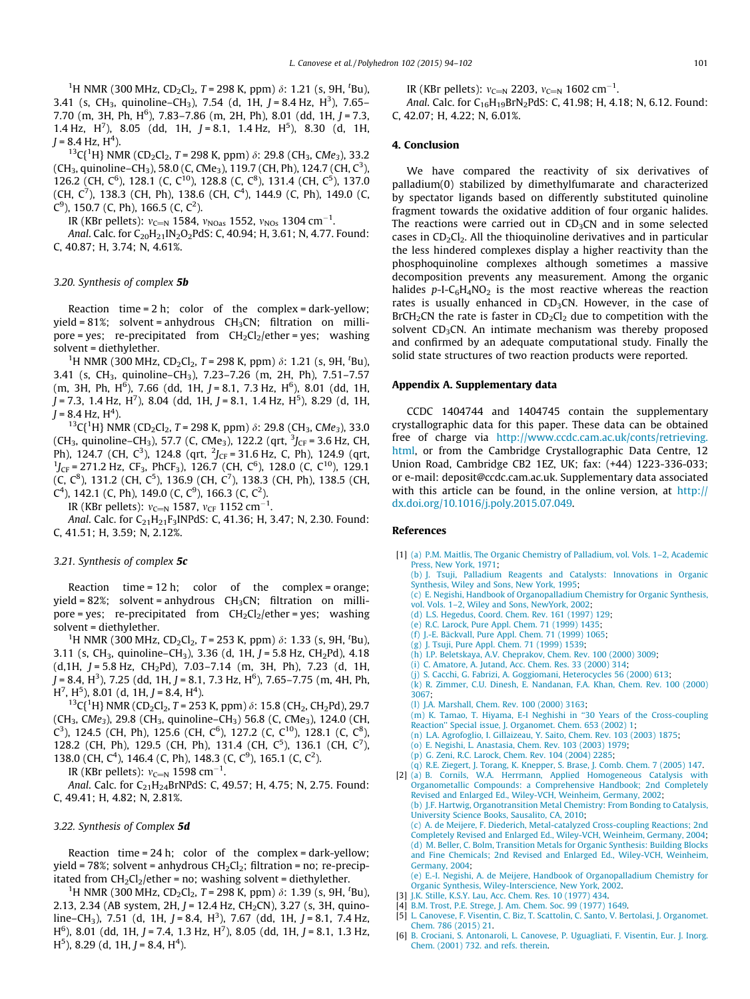<span id="page-7-0"></span><sup>1</sup>H NMR (300 MHz, CD<sub>2</sub>Cl<sub>2</sub>, *T* = 298 K, ppm)  $\delta$ : 1.21 (s, 9H, <sup>t</sup>Bu), 3.41 (s, CH<sub>3</sub>, quinoline–CH<sub>3</sub>), 7.54 (d, 1H, J = 8.4 Hz, H<sup>3</sup>), 7.65– 7.70 (m, 3H, Ph, H<sup>6</sup>), 7.83–7.86 (m, 2H, Ph), 8.01 (dd, 1H, J = 7.3, 1.4 Hz,  $H^7$ ), 8.05 (dd, 1H, J = 8.1, 1.4 Hz,  $H^5$ ), 8.30 (d, 1H,  $J = 8.4$  Hz,  $H<sup>4</sup>$ ).

<sup>13</sup>C{<sup>1</sup>H} NMR (CD<sub>2</sub>Cl<sub>2</sub>, T = 298 K, ppm)  $\delta$ : 29.8 (CH<sub>3</sub>, CMe<sub>3</sub>), 33.2 (CH<sub>3</sub>, quinoline-CH<sub>3</sub>), 58.0 (C, CMe<sub>3</sub>), 119.7 (CH, Ph), 124.7 (CH, C<sup>3</sup>), 126.2 (CH, C<sup>6</sup>), 128.1 (C, C<sup>10</sup>), 128.8 (C, C<sup>8</sup>), 131.4 (CH, C<sup>5</sup>), 137.0 (CH, C<sup>7</sup>), 138.3 (CH, Ph), 138.6 (CH, C<sup>4</sup>), 144.9 (C, Ph), 149.0 (C,  $C<sup>9</sup>$ ), 150.7 (C, Ph), 166.5 (C,  $C<sup>2</sup>$ ).

IR (KBr pellets):  $v_{\text{C=N}}$  1584,  $v_{\text{NOas}}$  1552,  $v_{\text{NOs}}$  1304 cm<sup>-1</sup>.

Anal. Calc. for C<sub>20</sub>H<sub>21</sub>IN<sub>2</sub>O<sub>2</sub>PdS: C, 40.94; H, 3.61; N, 4.77. Found: C, 40.87; H, 3.74; N, 4.61%.

# 3.20. Synthesis of complex 5b

Reaction time =  $2 h$ ; color of the complex = dark-yellow; yield =  $81\%$ ; solvent = anhydrous CH<sub>3</sub>CN; filtration on millipore = yes; re-precipitated from  $CH_2Cl_2/$ ether = yes; washing solvent = diethylether.

<sup>1</sup>H NMR (300 MHz, CD<sub>2</sub>Cl<sub>2</sub>, *T* = 298 K, ppm)  $\delta$ : 1.21 (s, 9H, <sup>t</sup>Bu), 3.41 (s, CH<sub>3</sub>, quinoline–CH<sub>3</sub>), 7.23–7.26 (m, 2H, Ph), 7.51–7.57  $(m, 3H, Ph, H<sup>6</sup>)$ , 7.66 (dd, 1H, J = 8.1, 7.3 Hz, H<sup>6</sup>), 8.01 (dd, 1H,  $J$  = 7.3, 1.4 Hz, H<sup>7</sup>), 8.04 (dd, 1H,  $J$  = 8.1, 1.4 Hz, H<sup>5</sup>), 8.29 (d, 1H,  $J = 8.4$  Hz,  $H<sup>4</sup>$ ).

<sup>13</sup>C{<sup>1</sup>H} NMR (CD<sub>2</sub>Cl<sub>2</sub>, T = 298 K, ppm)  $\delta$ : 29.8 (CH<sub>3</sub>, CMe<sub>3</sub>), 33.0 (CH<sub>3</sub>, quinoline–CH<sub>3</sub>), 57.7 (C, CMe<sub>3</sub>), 122.2 (qrt,  ${}^{3}$ J<sub>CF</sub> = 3.6 Hz, CH, Ph), 124.7 (CH, C<sup>3</sup>), 124.8 (qrt, <sup>2</sup>J<sub>CF</sub> = 31.6 Hz, C, Ph), 124.9 (qrt,  $\frac{1}{1}$ <sub>L</sub> = 271.2 H<sub>z</sub>, C<sub>F</sub>, PbCF<sub>-</sub>), 126.7 (CH, C<sup>6</sup>), 128.0 (C, C<sup>10</sup>), 129.1  $J_{CF}$  = 271.2 Hz, CF<sub>3</sub>, PhCF<sub>3</sub>), 126.7 (CH, C<sup>6</sup>), 128.0 (C, C<sup>10</sup>), 129.1  $(C, C^8)$ , 131.2  $(CH, C^5)$ , 136.9  $(CH, C^7)$ , 138.3  $(CH, Ph)$ , 138.5  $(CH, H)$  $C<sup>4</sup>$ ), 142.1 (C, Ph), 149.0 (C, C<sup>9</sup>), 166.3 (C, C<sup>2</sup>).

IR (KBr pellets):  $v_{C=N}$  1587,  $v_{CF}$  1152 cm<sup>-1</sup>.

Anal. Calc. for  $C_{21}H_{21}F_3$ INPdS: C, 41.36; H, 3.47; N, 2.30. Found: C, 41.51; H, 3.59; N, 2.12%.

#### 3.21. Synthesis of complex 5c

Reaction time =  $12$  h; color of the complex = orange; yield =  $82\%$ ; solvent = anhydrous CH<sub>3</sub>CN; filtration on millipore = yes; re-precipitated from  $CH_2Cl_2/$ ether = yes; washing solvent = diethylether.

<sup>1</sup>H NMR (300 MHz, CD<sub>2</sub>Cl<sub>2</sub>, *T* = 253 K, ppm)  $\delta$ : 1.33 (s, 9H, <sup>t</sup>Bu), 3.11 (s, CH<sub>3</sub>, quinoline–CH<sub>3</sub>), 3.36 (d, 1H, J = 5.8 Hz, CH<sub>2</sub>Pd), 4.18  $(d, 1H, J = 5.8 \text{ Hz}, CH_2Pd), 7.03-7.14 \text{ (m, 3H, Ph)}, 7.23 \text{ (d, 1H)}$  $J = 8.4, H^3$ ), 7.25 (dd, 1H, J = 8.1, 7.3 Hz, H<sup>6</sup>), 7.65–7.75 (m, 4H, Ph,  $H^7$ ,  $H^5$ ), 8.01 (d, 1H, J = 8.4,  $H^4$ ).

<sup>13</sup>C{<sup>1</sup>H} NMR (CD<sub>2</sub>Cl<sub>2</sub>, T = 253 K, ppm)  $\delta$ : 15.8 (CH<sub>2</sub>, CH<sub>2</sub>Pd), 29.7  $(CH_3, CMe_3)$ , 29.8 (CH<sub>3</sub>, quinoline–CH<sub>3</sub>) 56.8 (C, CMe<sub>3</sub>), 124.0 (CH,  $C^3$ ), 124.5 (CH, Ph), 125.6 (CH,  $C^6$ ), 127.2 (C,  $C^{10}$ ), 128.1 (C,  $C^8$ ), 128.2 (CH, Ph), 129.5 (CH, Ph), 131.4 (CH, C<sup>5</sup>), 136.1 (CH, C<sup>7</sup>), 138.0 (CH, C<sup>4</sup>), 146.4 (C, Ph), 148.3 (C, C<sup>9</sup>), 165.1 (C, C<sup>2</sup>).

IR (KBr pellets):  $v_{C=N}$  1598 cm<sup>-1</sup>.

Anal. Calc. for  $C_{21}H_{24}BrNPdS$ : C, 49.57; H, 4.75; N, 2.75. Found: C, 49.41; H, 4.82; N, 2.81%.

### 3.22. Synthesis of Complex 5d

Reaction time =  $24$  h; color of the complex = dark-yellow; yield = 78%; solvent = anhydrous  $CH_2Cl_2$ ; filtration = no; re-precipitated from  $CH_2Cl_2$ /ether = no; washing solvent = diethylether.

H NMR (300 MHz, CD<sub>2</sub>Cl<sub>2</sub>, T = 298 K, ppm)  $\delta$ : 1.39 (s, 9H, <sup>t</sup>Bu), 2.13, 2.34 (AB system, 2H,  $J = 12.4$  Hz, CH<sub>2</sub>CN), 3.27 (s, 3H, quinoline–CH<sub>3</sub>), 7.51 (d, 1H, J = 8.4, H<sup>3</sup>), 7.67 (dd, 1H, J = 8.1, 7.4 Hz,  $H<sup>6</sup>$ ), 8.01 (dd, 1H, J = 7.4, 1.3 Hz, H<sup>7</sup>), 8.05 (dd, 1H, J = 8.1, 1.3 Hz,  $H<sup>5</sup>$ ), 8.29 (d, 1H, J = 8.4,  $H<sup>4</sup>$ ).

IR (KBr pellets):  $v_{\text{C=N}}$  2203,  $v_{\text{C=N}}$  1602 cm<sup>-1</sup>.

Anal. Calc. for C<sub>16</sub>H<sub>19</sub>BrN<sub>2</sub>PdS: C, 41.98; H, 4.18; N, 6.12. Found: C, 42.07; H, 4.22; N, 6.01%.

### 4. Conclusion

We have compared the reactivity of six derivatives of palladium(0) stabilized by dimethylfumarate and characterized by spectator ligands based on differently substituted quinoline fragment towards the oxidative addition of four organic halides. The reactions were carried out in  $CD<sub>3</sub>CN$  and in some selected cases in  $CD_2Cl_2$ . All the thioquinoline derivatives and in particular the less hindered complexes display a higher reactivity than the phosphoquinoline complexes although sometimes a massive decomposition prevents any measurement. Among the organic halides  $p$ -I-C<sub>6</sub>H<sub>4</sub>NO<sub>2</sub> is the most reactive whereas the reaction rates is usually enhanced in  $CD<sub>3</sub>CN$ . However, in the case of BrCH<sub>2</sub>CN the rate is faster in CD<sub>2</sub>Cl<sub>2</sub> due to competition with the solvent  $CD_3CN$ . An intimate mechanism was thereby proposed and confirmed by an adequate computational study. Finally the solid state structures of two reaction products were reported.

#### Appendix A. Supplementary data

CCDC 1404744 and 1404745 contain the supplementary crystallographic data for this paper. These data can be obtained free of charge via [http://www.ccdc.cam.ac.uk/conts/retrieving.](http://www.ccdc.cam.ac.uk/conts/retrieving.html) [html,](http://www.ccdc.cam.ac.uk/conts/retrieving.html) or from the Cambridge Crystallographic Data Centre, 12 Union Road, Cambridge CB2 1EZ, UK; fax: (+44) 1223-336-033; or e-mail: deposit@ccdc.cam.ac.uk. Supplementary data associated with this article can be found, in the online version, at  $\frac{http://}{http://}$  $\frac{http://}{http://}$  $\frac{http://}{http://}$ [dx.doi.org/10.1016/j.poly.2015.07.049.](http://dx.doi.org/10.1016/j.poly.2015.07.049)

#### References

- [1] [\(a\) P.M. Maitlis, The Organic Chemistry of Palladium, vol. Vols. 1–2, Academic](http://refhub.elsevier.com/S0277-5387(15)00404-0/h0005) [Press, New York, 1971;](http://refhub.elsevier.com/S0277-5387(15)00404-0/h0005) [\(b\) J. Tsuji, Palladium Reagents and Catalysts: Innovations in Organic](http://refhub.elsevier.com/S0277-5387(15)00404-0/h0010) [Synthesis, Wiley and Sons, New York, 1995](http://refhub.elsevier.com/S0277-5387(15)00404-0/h0010); [\(c\) E. Negishi, Handbook of Organopalladium Chemistry for Organic Synthesis,](http://refhub.elsevier.com/S0277-5387(15)00404-0/h0015) [vol. Vols. 1–2, Wiley and Sons, NewYork, 2002;](http://refhub.elsevier.com/S0277-5387(15)00404-0/h0015) [\(d\) L.S. Hegedus, Coord. Chem. Rev. 161 \(1997\) 129](http://refhub.elsevier.com/S0277-5387(15)00404-0/h0020); [\(e\) R.C. Larock, Pure Appl. Chem. 71 \(1999\) 1435](http://refhub.elsevier.com/S0277-5387(15)00404-0/h0025); [\(f\) J.-E. Bäckvall, Pure Appl. Chem. 71 \(1999\) 1065;](http://refhub.elsevier.com/S0277-5387(15)00404-0/h0030) [\(g\) J. Tsuji, Pure Appl. Chem. 71 \(1999\) 1539;](http://refhub.elsevier.com/S0277-5387(15)00404-0/h0035) [\(h\) I.P. Beletskaya, A.V. Cheprakov, Chem. Rev. 100 \(2000\) 3009](http://refhub.elsevier.com/S0277-5387(15)00404-0/h0040); [\(i\) C. Amatore, A. Jutand, Acc. Chem. Res. 33 \(2000\) 314;](http://refhub.elsevier.com/S0277-5387(15)00404-0/h0045) [\(j\) S. Cacchi, G. Fabrizi, A. Goggiomani, Heterocycles 56 \(2000\) 613](http://refhub.elsevier.com/S0277-5387(15)00404-0/h0050); [\(k\) R. Zimmer, C.U. Dinesh, E. Nandanan, F.A. Khan, Chem. Rev. 100 \(2000\)](http://refhub.elsevier.com/S0277-5387(15)00404-0/h0055) [3067;](http://refhub.elsevier.com/S0277-5387(15)00404-0/h0055) [\(l\) J.A. Marshall, Chem. Rev. 100 \(2000\) 3163;](http://refhub.elsevier.com/S0277-5387(15)00404-0/h0060) [\(m\) K. Tamao, T. Hiyama, E-I Neghishi in ''30 Years of the Cross-coupling](http://refhub.elsevier.com/S0277-5387(15)00404-0/h0065) [Reaction'' Special issue, J. Organomet. Chem. 653 \(2002\) 1;](http://refhub.elsevier.com/S0277-5387(15)00404-0/h0065) [\(n\) L.A. Agrofoglio, I. Gillaizeau, Y. Saito, Chem. Rev. 103 \(2003\) 1875](http://refhub.elsevier.com/S0277-5387(15)00404-0/h0070); [\(o\) E. Negishi, L. Anastasia, Chem. Rev. 103 \(2003\) 1979;](http://refhub.elsevier.com/S0277-5387(15)00404-0/h0075) [\(p\) G. Zeni, R.C. Larock, Chem. Rev. 104 \(2004\) 2285;](http://refhub.elsevier.com/S0277-5387(15)00404-0/h0080) [\(q\) R.E. Ziegert, J. Torang, K. Knepper, S. Brase, J. Comb. Chem. 7 \(2005\) 147.](http://refhub.elsevier.com/S0277-5387(15)00404-0/h0085) [2] [\(a\) B. Cornils, W.A. Herrmann, Applied Homogeneous Catalysis with](http://refhub.elsevier.com/S0277-5387(15)00404-0/h0090) [Organometallic Compounds: a Comprehensive Handbook; 2nd Completely](http://refhub.elsevier.com/S0277-5387(15)00404-0/h0090) [Revised and Enlarged Ed., Wiley-VCH, Weinheim, Germany, 2002;](http://refhub.elsevier.com/S0277-5387(15)00404-0/h0090) [\(b\) J.F. Hartwig, Organotransition Metal Chemistry: From Bonding to Catalysis,](http://refhub.elsevier.com/S0277-5387(15)00404-0/h0095) [University Science Books, Sausalito, CA, 2010;](http://refhub.elsevier.com/S0277-5387(15)00404-0/h0095) [\(c\) A. de Meijere, F. Diederich, Metal-catalyzed Cross-coupling Reactions; 2nd](http://refhub.elsevier.com/S0277-5387(15)00404-0/h0100) [Completely Revised and Enlarged Ed., Wiley-VCH, Weinheim, Germany, 2004](http://refhub.elsevier.com/S0277-5387(15)00404-0/h0100); [\(d\) M. Beller, C. Bolm, Transition Metals for Organic Synthesis: Building Blocks](http://refhub.elsevier.com/S0277-5387(15)00404-0/h0105) [and Fine Chemicals; 2nd Revised and Enlarged Ed., Wiley-VCH, Weinheim,](http://refhub.elsevier.com/S0277-5387(15)00404-0/h0105) [Germany, 2004;](http://refhub.elsevier.com/S0277-5387(15)00404-0/h0105) [\(e\) E.-I. Negishi, A. de Meijere, Handbook of Organopalladium Chemistry for](http://refhub.elsevier.com/S0277-5387(15)00404-0/h0110) [Organic Synthesis, Wiley-Interscience, New York, 2002](http://refhub.elsevier.com/S0277-5387(15)00404-0/h0110). [3] [J.K. Stille, K.S.Y. Lau, Acc. Chem. Res. 10 \(1977\) 434](http://refhub.elsevier.com/S0277-5387(15)00404-0/h0115). [4] [B.M. Trost, P.E. Strege, J. Am. Chem. Soc. 99 \(1977\) 1649](http://refhub.elsevier.com/S0277-5387(15)00404-0/h0120). [5] [L. Canovese, F. Visentin, C. Biz, T. Scattolin, C. Santo, V. Bertolasi, J. Organomet.](http://refhub.elsevier.com/S0277-5387(15)00404-0/h0125) [Chem. 786 \(2015\) 21.](http://refhub.elsevier.com/S0277-5387(15)00404-0/h0125)
- [6] [B. Crociani, S. Antonaroli, L. Canovese, P. Uguagliati, F. Visentin, Eur. J. Inorg.](http://refhub.elsevier.com/S0277-5387(15)00404-0/h0130) [Chem. \(2001\) 732. and refs. therein.](http://refhub.elsevier.com/S0277-5387(15)00404-0/h0130)